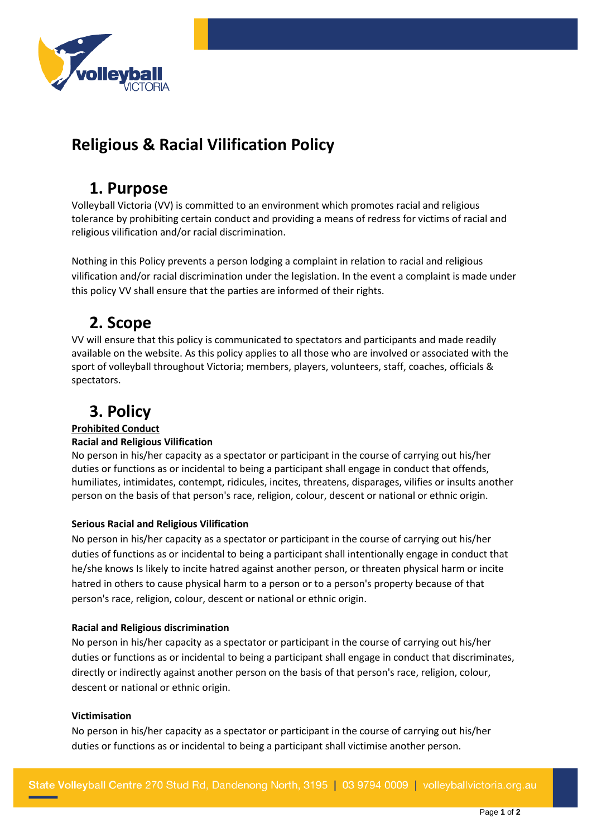

# **Religious & Racial Vilification Policy**

## **1. Purpose**

Volleyball Victoria (VV) is committed to an environment which promotes racial and religious tolerance by prohibiting certain conduct and providing a means of redress for victims of racial and religious vilification and/or racial discrimination.

Nothing in this Policy prevents a person lodging a complaint in relation to racial and religious vilification and/or racial discrimination under the legislation. In the event a complaint is made under this policy VV shall ensure that the parties are informed of their rights.

## **2. Scope**

VV will ensure that this policy is communicated to spectators and participants and made readily available on the website. As this policy applies to all those who are involved or associated with the sport of volleyball throughout Victoria; members, players, volunteers, staff, coaches, officials & spectators.

# **3. Policy**

### **Prohibited Conduct**

### **Racial and Religious Vilification**

No person in his/her capacity as a spectator or participant in the course of carrying out his/her duties or functions as or incidental to being a participant shall engage in conduct that offends, humiliates, intimidates, contempt, ridicules, incites, threatens, disparages, vilifies or insults another person on the basis of that person's race, religion, colour, descent or national or ethnic origin.

### **Serious Racial and Religious Vilification**

No person in his/her capacity as a spectator or participant in the course of carrying out his/her duties of functions as or incidental to being a participant shall intentionally engage in conduct that he/she knows Is likely to incite hatred against another person, or threaten physical harm or incite hatred in others to cause physical harm to a person or to a person's property because of that person's race, religion, colour, descent or national or ethnic origin.

#### **Racial and Religious discrimination**

No person in his/her capacity as a spectator or participant in the course of carrying out his/her duties or functions as or incidental to being a participant shall engage in conduct that discriminates, directly or indirectly against another person on the basis of that person's race, religion, colour, descent or national or ethnic origin.

#### **Victimisation**

No person in his/her capacity as a spectator or participant in the course of carrying out his/her duties or functions as or incidental to being a participant shall victimise another person.